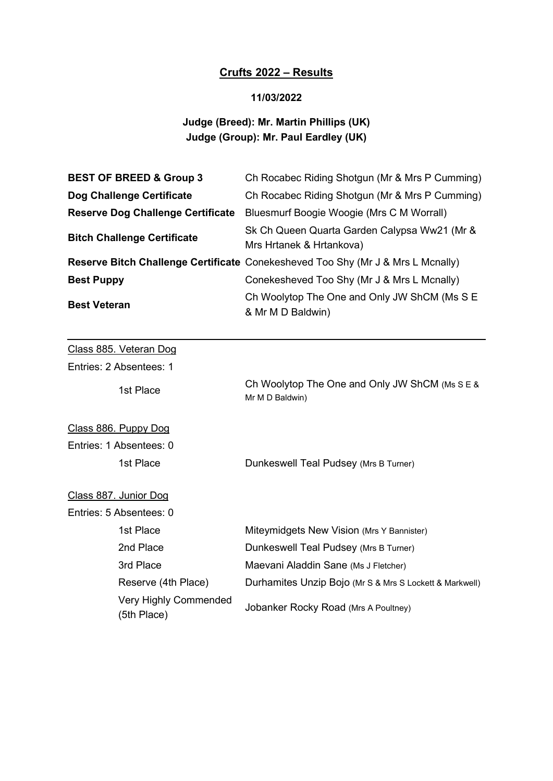## Crufts 2022 – Results

### 11/03/2022

## Judge (Breed): Mr. Martin Phillips (UK) Judge (Group): Mr. Paul Eardley (UK)

| <b>BEST OF BREED &amp; Group 3</b>       | Ch Rocabec Riding Shotgun (Mr & Mrs P Cumming)                                  |  |
|------------------------------------------|---------------------------------------------------------------------------------|--|
| Dog Challenge Certificate                | Ch Rocabec Riding Shotgun (Mr & Mrs P Cumming)                                  |  |
| <b>Reserve Dog Challenge Certificate</b> | Bluesmurf Boogie Woogie (Mrs C M Worrall)                                       |  |
| <b>Bitch Challenge Certificate</b>       | Sk Ch Queen Quarta Garden Calypsa Ww21 (Mr &<br>Mrs Hrtanek & Hrtankova)        |  |
|                                          | Reserve Bitch Challenge Certificate Conekesheved Too Shy (Mr J & Mrs L Mcnally) |  |
| <b>Best Puppy</b>                        | Conekesheved Too Shy (Mr J & Mrs L Mcnally)                                     |  |
| <b>Best Veteran</b>                      | Ch Woolytop The One and Only JW ShCM (Ms S E<br>& Mr M D Baldwin)               |  |
|                                          |                                                                                 |  |
| Class 885. Veteran Dog                   |                                                                                 |  |
| Entries: 2 Absentees: 1                  |                                                                                 |  |
| 1st Place                                | Ch Woolytop The One and Only JW ShCM (Ms S E &<br>Mr M D Baldwin)               |  |
| Class 886. Puppy Dog                     |                                                                                 |  |
| Entries: 1 Absentees: 0                  |                                                                                 |  |
| 1st Place                                | Dunkeswell Teal Pudsey (Mrs B Turner)                                           |  |
| Class 887. Junior Dog                    |                                                                                 |  |
| Entries: 5 Absentees: 0                  |                                                                                 |  |
| 1st Place                                | Miteymidgets New Vision (Mrs Y Bannister)                                       |  |
| 2nd Place                                | Dunkeswell Teal Pudsey (Mrs B Turner)                                           |  |
| 3rd Place                                | Maevani Aladdin Sane (Ms J Fletcher)                                            |  |

Reserve (4th Place) Durhamites Unzip Bojo (Mr S & Mrs S Lockett & Markwell)

Very Highly Commended (5th Place) Jobanker Rocky Road (Mrs A Poultney)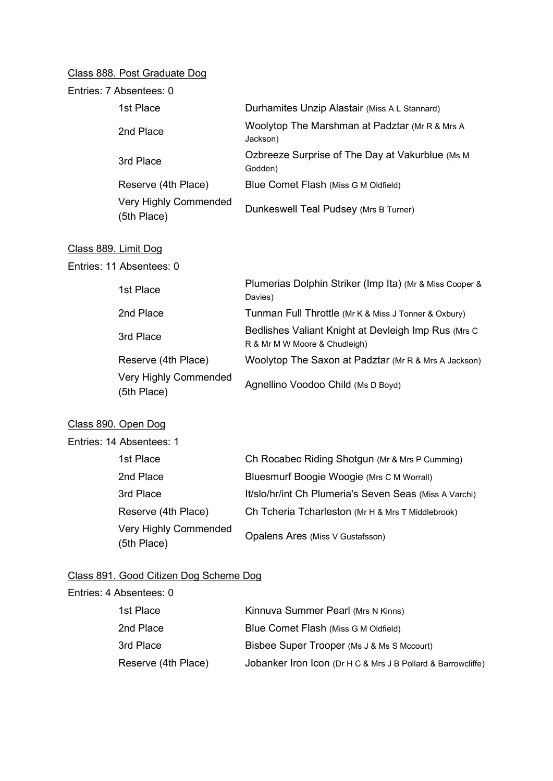## Class 888. Post Graduate Dog

| Entries: 7 Absentees: 0                     |                                                                                       |
|---------------------------------------------|---------------------------------------------------------------------------------------|
| 1st Place                                   | Durhamites Unzip Alastair (Miss A L Stannard)                                         |
| 2nd Place                                   | Woolytop The Marshman at Padztar (Mr R & Mrs A<br>Jackson)                            |
| 3rd Place                                   | Ozbreeze Surprise of The Day at Vakurblue (Ms M<br>Godden)                            |
| Reserve (4th Place)                         | Blue Comet Flash (Miss G M Oldfield)                                                  |
| <b>Very Highly Commended</b><br>(5th Place) | Dunkeswell Teal Pudsey (Mrs B Turner)                                                 |
| Class 889. Limit Dog                        |                                                                                       |
| Entries: 11 Absentees: 0                    |                                                                                       |
| 1st Place                                   | Plumerias Dolphin Striker (Imp Ita) (Mr & Miss Cooper &<br>Davies)                    |
| 2nd Place                                   | Tunman Full Throttle (Mr K & Miss J Tonner & Oxbury)                                  |
| 3rd Place                                   | Bedlishes Valiant Knight at Devleigh Imp Rus (Mrs C)<br>R & Mr M W Moore & Chudleigh) |
| Reserve (4th Place)                         | Woolytop The Saxon at Padztar (Mr R & Mrs A Jackson)                                  |
| <b>Very Highly Commended</b><br>(5th Place) | Agnellino Voodoo Child (Ms D Boyd)                                                    |
| Class 890. Open Dog                         |                                                                                       |
| Entries: 14 Absentees: 1                    |                                                                                       |
| 1st Place                                   | Ch Rocabec Riding Shotgun (Mr & Mrs P Cumming)                                        |

| 1st Place                            | Ch Rocabec Riding Shotgun (Mr & Mrs P Cumming)         |
|--------------------------------------|--------------------------------------------------------|
| 2nd Place                            | Bluesmurf Boogie Woogie (Mrs C M Worrall)              |
| 3rd Place                            | It/slo/hr/int Ch Plumeria's Seven Seas (Miss A Varchi) |
| Reserve (4th Place)                  | Ch Tcheria Tcharleston (Mr H & Mrs T Middlebrook)      |
| Very Highly Commended<br>(5th Place) | Opalens Ares (Miss V Gustafsson)                       |

# Class 891. Good Citizen Dog Scheme Dog

| Entries: 4 Absentees: 0 |                                                              |
|-------------------------|--------------------------------------------------------------|
| 1st Place               | Kinnuva Summer Pearl (Mrs N Kinns)                           |
| 2nd Place               | Blue Comet Flash (Miss G M Oldfield)                         |
| 3rd Place               | Bisbee Super Trooper (Ms J & Ms S Mccourt)                   |
| Reserve (4th Place)     | Jobanker Iron Icon (Dr H C & Mrs J B Pollard & Barrowcliffe) |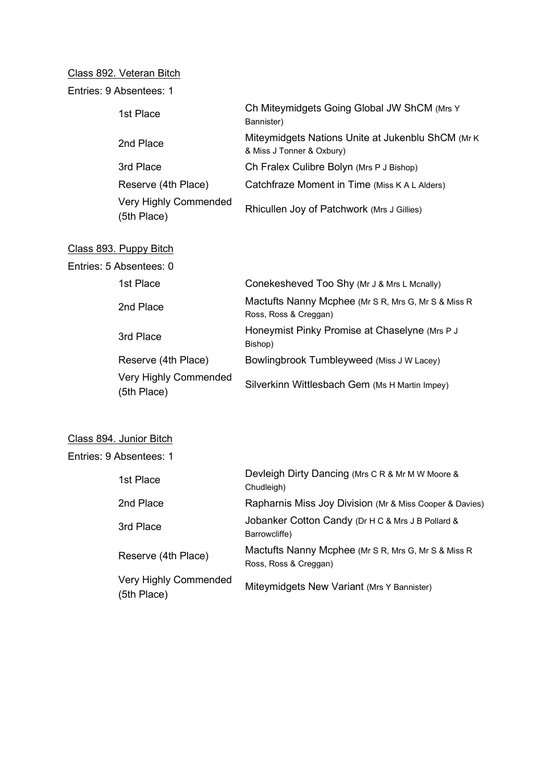## Class 892. Veteran Bitch

| 1st Place                            | Ch Miteymidgets Going Global JW ShCM (Mrs Y<br>Bannister)                       |
|--------------------------------------|---------------------------------------------------------------------------------|
| 2nd Place                            | Miteymidgets Nations Unite at Jukenblu ShCM (Mr K)<br>& Miss J Tonner & Oxbury) |
| 3rd Place                            | Ch Fralex Culibre Bolyn (Mrs P J Bishop)                                        |
| Reserve (4th Place)                  | Catchfraze Moment in Time (Miss K A L Alders)                                   |
| Very Highly Commended<br>(5th Place) | Rhicullen Joy of Patchwork (Mrs J Gillies)                                      |
|                                      |                                                                                 |

#### Class 893. Puppy Bitch

| Entries: 5 Absentees: 0 |                                      |                                                                               |
|-------------------------|--------------------------------------|-------------------------------------------------------------------------------|
|                         | 1st Place                            | Conekesheved Too Shy (Mr J & Mrs L Mcnally)                                   |
|                         | 2nd Place                            | Mactufts Nanny Mcphee (Mr S R, Mrs G, Mr S & Miss R)<br>Ross, Ross & Creggan) |
|                         | 3rd Place                            | Honeymist Pinky Promise at Chaselyne (Mrs P J<br>Bishop)                      |
|                         | Reserve (4th Place)                  | Bowlingbrook Tumbleyweed (Miss J W Lacey)                                     |
|                         | Very Highly Commended<br>(5th Place) | Silverkinn Wittlesbach Gem (Ms H Martin Impey)                                |

## Class 894. Junior Bitch

Entries: 9 Absentees: 1

| 1st Place                                   | Devleigh Dirty Dancing (Mrs C R & Mr M W Moore &<br>Chudleigh)                |
|---------------------------------------------|-------------------------------------------------------------------------------|
| 2nd Place                                   | Rapharnis Miss Joy Division (Mr & Miss Cooper & Davies)                       |
| 3rd Place                                   | Jobanker Cotton Candy (Dr H C & Mrs J B Pollard &<br>Barrowcliffe)            |
| Reserve (4th Place)                         | Mactufts Nanny Mcphee (Mr S R, Mrs G, Mr S & Miss R)<br>Ross, Ross & Creggan) |
| <b>Very Highly Commended</b><br>(5th Place) | Miteymidgets New Variant (Mrs Y Bannister)                                    |